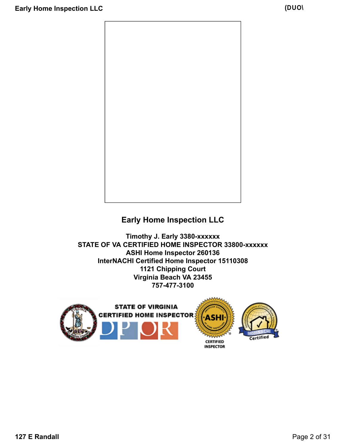

## **Early Home Inspection LLC**

**Timothy J. Early 3380-xxxxxx STATE OF VA CERTIFIED HOME INSPECTOR 33800-xxxxxx ASHI Home Inspector 260136 InterNACHI Certified Home Inspector 15110308 1121 Chipping Court Virginia Beach VA 23455 757-477-3100**

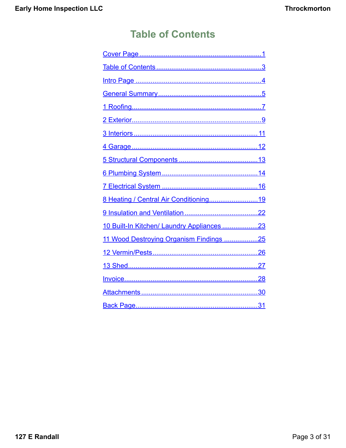# **Table of Contents**

<span id="page-2-0"></span>

| 8 Heating / Central Air Conditioning19     |
|--------------------------------------------|
|                                            |
| 10 Built-In Kitchen/ Laundry Appliances 23 |
| 11 Wood Destroying Organism Findings 25    |
|                                            |
|                                            |
|                                            |
|                                            |
|                                            |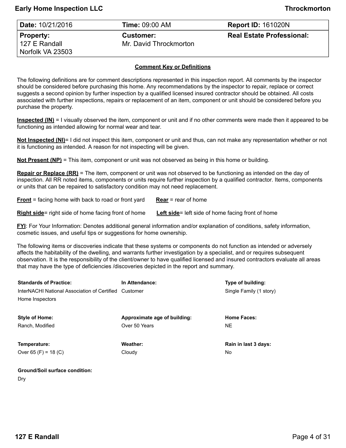<span id="page-3-0"></span>

| Date: 10/21/2016 | <b>Time: 09:00 AM</b>  | <b>Report ID: 161020N</b>        |
|------------------|------------------------|----------------------------------|
| Property:        | <b>Customer:</b>       | <b>Real Estate Professional:</b> |
| l 127 E Randall  | Mr. David Throckmorton |                                  |
| Norfolk VA 23503 |                        |                                  |

#### **Comment Key or Definitions**

The following definitions are for comment descriptions represented in this inspection report. All comments by the inspector should be considered before purchasing this home. Any recommendations by the inspector to repair, replace or correct suggests a second opinion by further inspection by a qualified licensed insured contractor should be obtained. All costs associated with further inspections, repairs or replacement of an item, component or unit should be considered before you purchase the property.

**Inspected (IN)** = I visually observed the item, component or unit and if no other comments were made then it appeared to be functioning as intended allowing for normal wear and tear.

**Not Inspected (NI)**= I did not inspect this item, component or unit and thus, can not make any representation whether or not it is functioning as intended. A reason for not inspecting will be given.

**Not Present (NP)** = This item, component or unit was not observed as being in this home or building.

**Repair or Replace (RR)** = The item, component or unit was not observed to be functioning as intended on the day of inspection. All RR noted items, components or units require further inspection by a qualified contractor. Items, components or units that can be repaired to satisfactory condition may not need replacement.

**Front** = facing home with back to road or front yard **Rear** = rear of home

**Right side**= right side of home facing front of home **Left side**= left side of home facing front of home

**FYI**: For Your Information: Denotes additional general information and/or explanation of conditions, safety information, cosmetic issues, and useful tips or suggestions for home ownership.

The following items or discoveries indicate that these systems or components do not function as intended or adversely affects the habitability of the dwelling, and warrants further investigation by a specialist, and or requires subsequent observation. It is the responsibility of the client/owner to have qualified licensed and insured contractors evaluate all areas that may have the type of deficiencies /discoveries depicted in the report and summary.

| <b>Standards of Practice:</b>                | In Attendance:               | Type of building:       |
|----------------------------------------------|------------------------------|-------------------------|
| InterNACHI National Association of Certified | Customer                     | Single Family (1 story) |
| Home Inspectors                              |                              |                         |
|                                              |                              |                         |
| <b>Style of Home:</b>                        | Approximate age of building: | <b>Home Faces:</b>      |
| Ranch, Modified                              | Over 50 Years                | NE.                     |
|                                              |                              |                         |
| Temperature:                                 | Weather:                     | Rain in last 3 days:    |
| Over 65 (F) = 18 (C)                         | Cloudy                       | No                      |
|                                              |                              |                         |

| <b>Ground/Soil surface condition:</b> |  |
|---------------------------------------|--|
| Dry                                   |  |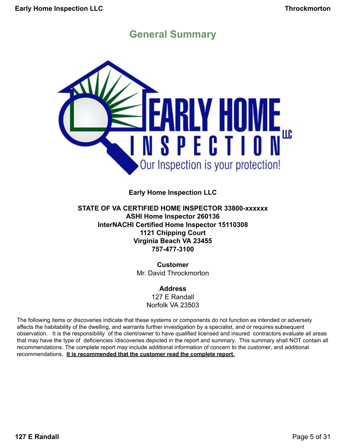# **General Summary**

<span id="page-4-0"></span>

### **Early Home Inspection LLC**

### **STATE OF VA CERTIFIED HOME INSPECTOR 33800-xxxxxx ASHI Home Inspector 260136 InterNACHI Certified Home Inspector 15110308 1121 Chipping Court Virginia Beach VA 23455 757-477-3100**

**Customer** Mr. David Throckmorton

### **Address**

127 E Randall Norfolk VA 23503

The following items or discoveries indicate that these systems or components do not function as intended or adversely affects the habitability of the dwelling, and warrants further investigation by a specialist, and or requires subsequent observation. It is the responsibility of the client/owner to have qualified licensed and insured contractors evaluate all areas that may have the type of deficiencies /discoveries depicted in the report and summary. This summary shall NOT contain all recommendations. The complete report may include additional information of concern to the customer, and additional recommendations. **It is recommended that the customer read the complete report.**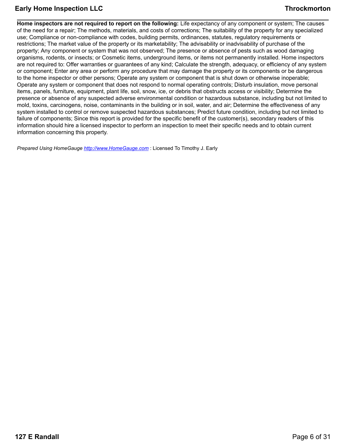**Home inspectors are not required to report on the following:** Life expectancy of any component or system; The causes of the need for a repair; The methods, materials, and costs of corrections; The suitability of the property for any specialized use; Compliance or non-compliance with codes, building permits, ordinances, statutes, regulatory requirements or restrictions; The market value of the property or its marketability; The advisability or inadvisability of purchase of the property; Any component or system that was not observed; The presence or absence of pests such as wood damaging organisms, rodents, or insects; or Cosmetic items, underground items, or items not permanently installed. Home inspectors are not required to: Offer warranties or guarantees of any kind; Calculate the strength, adequacy, or efficiency of any system or component; Enter any area or perform any procedure that may damage the property or its components or be dangerous to the home inspector or other persons; Operate any system or component that is shut down or otherwise inoperable; Operate any system or component that does not respond to normal operating controls; Disturb insulation, move personal items, panels, furniture, equipment, plant life, soil, snow, ice, or debris that obstructs access or visibility; Determine the presence or absence of any suspected adverse environmental condition or hazardous substance, including but not limited to mold, toxins, carcinogens, noise, contaminants in the building or in soil, water, and air; Determine the effectiveness of any system installed to control or remove suspected hazardous substances; Predict future condition, including but not limited to failure of components; Since this report is provided for the specific benefit of the customer(s), secondary readers of this information should hire a licensed inspector to perform an inspection to meet their specific needs and to obtain current information concerning this property.

*Prepared Using HomeGauge <http://www.HomeGauge.com>* : Licensed To Timothy J. Early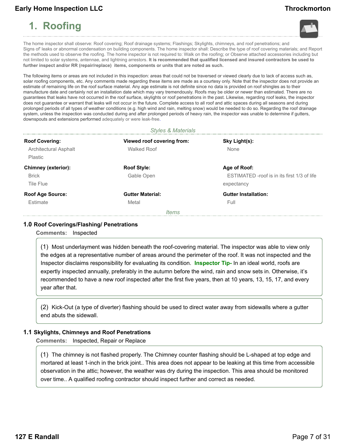# <span id="page-6-0"></span>**1. Roofing**





The home inspector shall observe: Roof covering; Roof drainage systems; Flashings; Skylights, chimneys, and roof penetrations; and Signs of' leaks or abnormal condensation on building components. The home inspector shall: Describe the type of roof covering materials; and Report the methods used to observe the roofing. The home inspector is not required to: Walk on the roofing; or Observe attached accessories including but not limited to solar systems, antennae, and lightning arrestors. **It is recommended that qualified licensed and insured contractors be used to further inspect and/or RR (repair/replace) items, components or units that are noted as such.**

The following items or areas are not included in this inspection: areas that could not be traversed or viewed clearly due to lack of access such as, solar roofing components, etc. Any comments made regarding these items are made as a courtesy only. Note that the inspector does not provide an estimate of remaining life on the roof surface material. Any age estimate is not definite since no data is provided on roof shingles as to their manufacture date and certainly not an installation date which may vary tremendously. Roofs may be older or newer than estimated. There are no guarantees that leaks have not occurred in the roof surface, skylights or roof penetrations in the past. Likewise, regarding roof leaks, the inspector does not guarantee or warrant that leaks will not occur in the future. Complete access to all roof and attic spaces during all seasons and during prolonged periods of all types of weather conditions (e.g. high wind and rain, melting snow) would be needed to do so. Regarding the roof drainage system, unless the inspection was conducted during and after prolonged periods of heavy rain, the inspector was unable to determine if gutters, downspouts and extensions performed adequately or were leak-free.

#### *Styles & Materials*

| <b>Roof Covering:</b><br>Architectural Asphalt<br>Plastic | Viewed roof covering from:<br><b>Walked Roof</b> | Sky Light(s):<br>None                                                     |
|-----------------------------------------------------------|--------------------------------------------------|---------------------------------------------------------------------------|
| <b>Chimney (exterior):</b><br><b>Brick</b><br>Tile Flue   | <b>Roof Style:</b><br>Gable Open                 | Age of Roof:<br>ESTIMATED -roof is in its first 1/3 of life<br>expectancy |
| <b>Roof Age Source:</b><br>Estimate                       | <b>Gutter Material:</b><br>Metal<br><i>Items</i> | <b>Gutter Installation:</b><br>Full                                       |

#### **1.0 Roof Coverings/Flashing/ Penetrations**

**Comments:** Inspected

(1) Most underlayment was hidden beneath the roof-covering material. The inspector was able to view only the edges at a representative number of areas around the perimeter of the roof. It was not inspected and the Inspector disclaims responsibility for evaluating its condition. **Inspector Tip-** In an ideal world, roofs are expertly inspected annually, preferably in the autumn before the wind, rain and snow sets in. Otherwise, it's recommended to have a new roof inspected after the first five years, then at 10 years, 13, 15, 17, and every year after that.

(2) Kick-Out (a type of diverter) flashing should be used to direct water away from sidewalls where a gutter end abuts the sidewall.

#### **1.1 Skylights, Chimneys and Roof Penetrations**

**Comments:** Inspected, Repair or Replace

(1) The chimney is not flashed properly. The Chimney counter flashing should be L-shaped at top edge and mortared at least 1-inch in the brick joint.. This area does not appear to be leaking at this time from accessible observation in the attic; however, the weather was dry during the inspection. This area should be monitored over time.. A qualified roofing contractor should inspect further and correct as needed.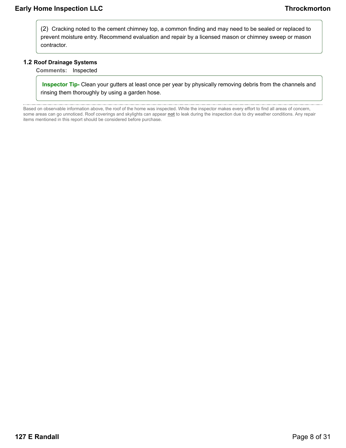(2) Cracking noted to the cement chimney top, a common finding and may need to be sealed or replaced to prevent moisture entry. Recommend evaluation and repair by a licensed mason or chimney sweep or mason contractor.

#### **1.2 Roof Drainage Systems**

**Comments:** Inspected

**Inspector Tip-** Clean your gutters at least once per year by physically removing debris from the channels and rinsing them thoroughly by using a garden hose.

Based on observable information above, the roof of the home was inspected. While the inspector makes every effort to find all areas of concern, some areas can go unnoticed. Roof coverings and skylights can appear **not** to leak during the inspection due to dry weather conditions. Any repair items mentioned in this report should be considered before purchase.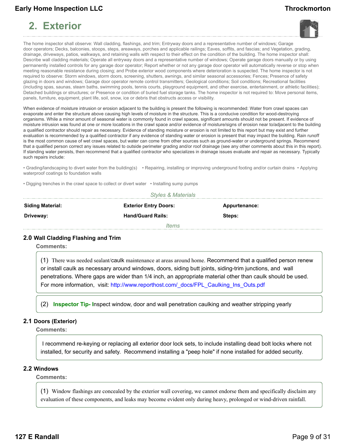# <span id="page-8-0"></span>**2. Exterior**





The home inspector shall observe: Wall cladding, flashings, and trim; Entryway doors and a representative number of windows; Garage door operators; Decks, balconies, stoops, steps, areaways, porches and applicable railings; Eaves, soffits, and fascias; and Vegetation, grading, drainage, driveways, patios, walkways, and retaining walls with respect to their effect on the condition of the building. The home inspector shall: Describe wall cladding materials; Operate all entryway doors and a representative number of windows; Operate garage doors manually or by using permanently installed controls for any garage door operator; Report whether or not any garage door operator will automatically reverse or stop when meeting reasonable resistance during closing; and Probe exterior wood components where deterioration is suspected. The home inspector is not required to observe: Storm windows, storm doors, screening, shutters, awnings, and similar seasonal accessories; Fences; Presence of safety glazing in doors and windows; Garage door operator remote control transmitters; Geological conditions; Soil conditions; Recreational facilities (including spas, saunas, steam baths, swimming pools, tennis courts, playground equipment, and other exercise, entertainment, or athletic facilities); Detached buildings or structures; or Presence or condition of buried fuel storage tanks. The home inspector is not required to: Move personal items, panels, furniture, equipment, plant life, soil, snow, ice or debris that obstructs access or visibility.

When evidence of moisture intrusion or erosion adjacent to the building is present the following is recommended: Water from crawl spaces can evaporate and enter the structure above causing high levels of moisture in the structure. This is a conducive condition for wood-destroying organisms. While a minor amount of seasonal water is commonly found in crawl spaces, significant amounts should not be present. If evidence of moisture intrusion was found at one or more locations in the crawl space and/or evidence of moisture/signs of erosion near to/adjacent to the building a qualified contractor should repair as necessary. Evidence of standing moisture or erosion is not limited to this report but may exist and further evaluation is recommended by a qualified contractor if any evidence of standing water or erosion is present that may impact the building. Rain runoff is the most common cause of wet crawl spaces, but water can come from other sources such as ground-water or underground springs. Recommend that a qualified person correct any issues related to outside perimeter grading and/or roof drainage (see any other comments about this in this report). If standing water persists, then recommend that a qualified contractor who specializes in drainage issues evaluate and repair as necessary. Typically such repairs include:

• Grading/landscaping to divert water from the building(s) • Repairing, installing or improving underground footing and/or curtain drains • Applying waterproof coatings to foundation walls

• Digging trenches in the crawl space to collect or divert water • Installing sump pumps

| <b>Styles &amp; Materials</b>                                            |                          |        |  |
|--------------------------------------------------------------------------|--------------------------|--------|--|
| <b>Siding Material:</b><br><b>Exterior Entry Doors:</b><br>Appurtenance: |                          |        |  |
| Driveway:                                                                | <b>Hand/Guard Rails:</b> | Steps: |  |
|                                                                          | <i>Items</i>             |        |  |

#### **2.0 Wall Cladding Flashing and Trim**

**Comments:**

(1) There was needed sealant/caulk maintenance at areas around home. Recommend that a qualified person renew or install caulk as necessary around windows, doors, siding butt joints, siding-trim junctions, and wall penetrations. Where gaps are wider than 1/4 inch, an appropriate material other than caulk should be used. For more information, visit: http://www.reporthost.com/\_docs/FPL\_Caulking\_Ins\_Outs.pdf

(2) **Inspector Tip- I**nspect window, door and wall penetration caulking and weather stripping yearly

#### **2.1 Doors (Exterior)**

**Comments:**

I recommend re-keying or replacing all exterior door lock sets, to include installing dead bolt locks where not installed, for security and safety. Recommend installing a "peep hole" if none installed for added security.

#### **2.2 Windows**

**Comments:**

(1) Window flashings are concealed by the exterior wall covering, we cannot endorse them and specifically disclaim any evaluation of these components, and leaks may become evident only during heavy, prolonged or wind-driven rainfall.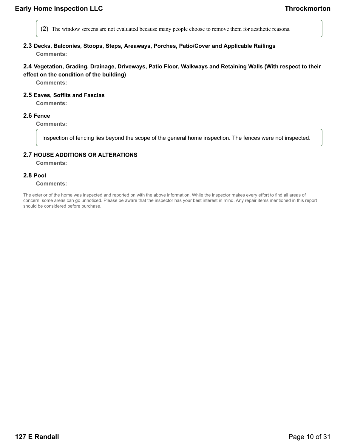- (2) The window screens are not evaluated because many people choose to remove them for aesthetic reasons.
- **2.3 Decks, Balconies, Stoops, Steps, Areaways, Porches, Patio/Cover and Applicable Railings Comments:**

### **2.4 Vegetation, Grading, Drainage, Driveways, Patio Floor, Walkways and Retaining Walls (With respect to their effect on the condition of the building)**

**Comments:**

**2.5 Eaves, Soffits and Fascias**

**Comments:**

#### **2.6 Fence**

**Comments:**

Inspection of fencing lies beyond the scope of the general home inspection. The fences were not inspected.

#### **2.7 HOUSE ADDITIONS OR ALTERATIONS**

**Comments:**

#### **2.8 Pool**

#### **Comments:**

The exterior of the home was inspected and reported on with the above information. While the inspector makes every effort to find all areas of concern, some areas can go unnoticed. Please be aware that the inspector has your best interest in mind. Any repair items mentioned in this report should be considered before purchase.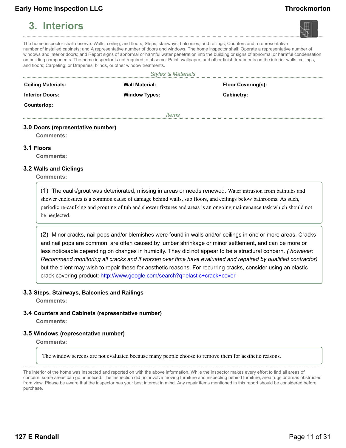# <span id="page-10-0"></span>**3. Interiors**



The home inspector shall observe: Walls, ceiling, and floors; Steps, stairways, balconies, and railings; Counters and a representative number of installed cabinets; and A representative number of doors and windows. The home inspector shall: Operate a representative number of windows and interior doors; and Report signs of abnormal or harmful water penetration into the building or signs of abnormal or harmful condensation on building components. The home inspector is not required to observe: Paint, wallpaper, and other finish treatments on the interior walls, ceilings, and floors; Carpeting; or Draperies, blinds, or other window treatments.

| <b>Styles &amp; Materials</b>     |                       |                           |  |
|-----------------------------------|-----------------------|---------------------------|--|
| <b>Ceiling Materials:</b>         | <b>Wall Material:</b> | <b>Floor Covering(s):</b> |  |
| <b>Interior Doors:</b>            | <b>Window Types:</b>  | Cabinetry:                |  |
| Countertop:                       |                       |                           |  |
|                                   | <i>Items</i>          |                           |  |
| 3.0 Doors (representative number) |                       |                           |  |

**Comments:**

#### **3.1 Floors**

**Comments:**

#### **3.2 Walls and Cielings**

**Comments:**

(1) The caulk/grout was deteriorated, missing in areas or needs renewed. Water intrusion from bathtubs and shower enclosures is a common cause of damage behind walls, sub floors, and ceilings below bathrooms. As such, periodic re-caulking and grouting of tub and shower fixtures and areas is an ongoing maintenance task which should not be neglected.

(2) Minor cracks, nail pops and/or blemishes were found in walls and/or ceilings in one or more areas. Cracks and nail pops are common, are often caused by lumber shrinkage or minor settlement, and can be more or less noticeable depending on changes in humidity. They did not appear to be a structural concern*, ( however: Recommend monitoring all cracks and if worsen over time have evaluated and repaired by qualified contractor)* but the client may wish to repair these for aesthetic reasons. For recurring cracks, consider using an elastic crack covering product: http://www.google.com/search?q=elastic+crack+cover

#### **3.3 Steps, Stairways, Balconies and Railings**

**Comments:**

#### **3.4 Counters and Cabinets (representative number) Comments:**

#### **3.5 Windows (representative number)**

**Comments:**

The window screens are not evaluated because many people choose to remove them for aesthetic reasons.

The interior of the home was inspected and reported on with the above information. While the inspector makes every effort to find all areas of concern, some areas can go unnoticed. The inspection did not involve moving furniture and inspecting behind furniture, area rugs or areas obstructed from view. Please be aware that the inspector has your best interest in mind. Any repair items mentioned in this report should be considered before purchase.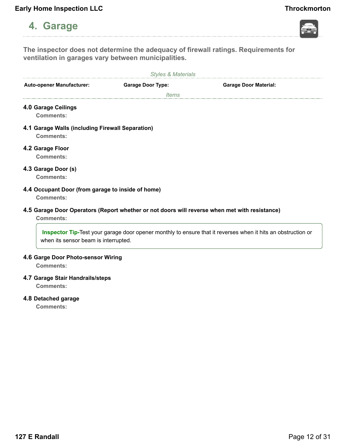# <span id="page-11-0"></span>**4. Garage**



**The inspector does not determine the adequacy of firewall ratings. Requirements for ventilation in garages vary between municipalities.**

| <b>Styles &amp; Materials</b>                                         |                                                                                               |                                                                                                                     |
|-----------------------------------------------------------------------|-----------------------------------------------------------------------------------------------|---------------------------------------------------------------------------------------------------------------------|
| <b>Auto-opener Manufacturer:</b>                                      | <b>Garage Door Type:</b>                                                                      | <b>Garage Door Material:</b>                                                                                        |
|                                                                       | ltems                                                                                         |                                                                                                                     |
| 4.0 Garage Ceilings<br>Comments:                                      |                                                                                               |                                                                                                                     |
| 4.1 Garage Walls (including Firewall Separation)<br>Comments:         |                                                                                               |                                                                                                                     |
| 4.2 Garage Floor<br>Comments:                                         |                                                                                               |                                                                                                                     |
| 4.3 Garage Door (s)<br>Comments:                                      |                                                                                               |                                                                                                                     |
| 4.4 Occupant Door (from garage to inside of home)<br><b>Comments:</b> |                                                                                               |                                                                                                                     |
| <b>Comments:</b>                                                      | 4.5 Garage Door Operators (Report whether or not doors will reverse when met with resistance) |                                                                                                                     |
| when its sensor beam is interrupted.                                  |                                                                                               | <b>Inspector Tip-Test your garage door opener monthly to ensure that it reverses when it hits an obstruction or</b> |

### **4.6 Garge Door Photo-sensor Wiring**

**Comments:**

### **4.7 Garage Stair Handrails/steps**

**Comments:**

### **4.8 Detached garage**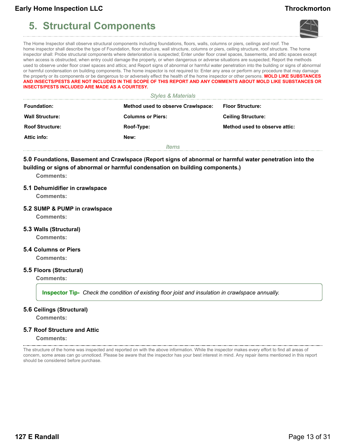# <span id="page-12-0"></span>**5. Structural Components**





The Home Inspector shall observe structural components including foundations, floors, walls, columns or piers, ceilings and roof. The home inspector shall describe the type of Foundation, floor structure, wall structure, columns or piers, ceiling structure, roof structure. The home inspector shall: Probe structural components where deterioration is suspected; Enter under floor crawl spaces, basements, and attic spaces except when access is obstructed, when entry could damage the property, or when dangerous or adverse situations are suspected; Report the methods used to observe under floor crawl spaces and attics; and Report signs of abnormal or harmful water penetration into the building or signs of abnormal or harmful condensation on building components. The home inspector is not required to: Enter any area or perform any procedure that may damage the property or its components or be dangerous to or adversely effect the health of the home inspector or other persons. **MOLD LIKE SUBSTANCES AND INSECTS/PESTS ARE NOT INCLUDED IN THE SCOPE OF THIS REPORT AND ANY COMMENTS ABOUT MOLD LIKE SUBSTANCES OR INSECTS/PESTS INCLUDED ARE MADE AS A COURTESY.**

|                        | <b>Styles &amp; Materials</b>             |                               |
|------------------------|-------------------------------------------|-------------------------------|
| <b>Foundation:</b>     | <b>Method used to observe Crawlspace:</b> | <b>Floor Structure:</b>       |
| <b>Wall Structure:</b> | <b>Columns or Piers:</b>                  | <b>Ceiling Structure:</b>     |
| <b>Roof Structure:</b> | Roof-Type:                                | Method used to observe attic: |
| Attic info:            | New:                                      |                               |
|                        | <i>Items</i>                              |                               |

**5.0 Foundations, Basement and Crawlspace (Report signs of abnormal or harmful water penetration into the building or signs of abnormal or harmful condensation on building components.)**

**Comments:**

#### **5.1 Dehumidifier in crawlspace**

**Comments:**

#### **5.2 SUMP & PUMP in crawlspace**

**Comments:**

#### **5.3 Walls (Structural)**

**Comments:**

#### **5.4 Columns or Piers**

**Comments:**

#### **5.5 Floors (Structural)**

**Comments:**

**Inspector Tip-** *Check the condition of existing floor joist and insulation in crawlspace annually.*

#### **5.6 Ceilings (Structural)**

**Comments:**

#### **5.7 Roof Structure and Attic**

**Comments:**

The structure of the home was inspected and reported on with the above information. While the inspector makes every effort to find all areas of concern, some areas can go unnoticed. Please be aware that the inspector has your best interest in mind. Any repair items mentioned in this report should be considered before purchase.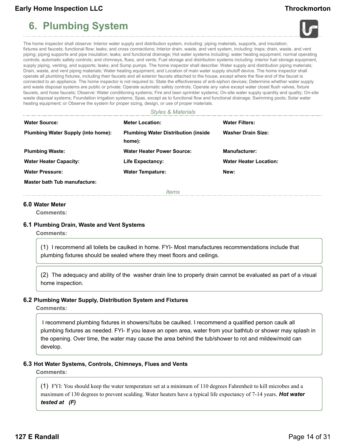# <span id="page-13-0"></span>**6. Plumbing System**





The home inspector shall observe: Interior water supply and distribution system, including: piping materials, supports, and insulation; fixtures and faucets; functional flow; leaks; and cross connections; Interior drain, waste, and vent system, including: traps; drain, waste, and vent piping; piping supports and pipe insulation; leaks; and functional drainage; Hot water systems including: water heating equipment; normal operating controls; automatic safety controls; and chimneys, flues, and vents; Fuel storage and distribution systems including: interior fuel storage equipment, supply piping, venting, and supports; leaks; and Sump pumps. The home inspector shall describe: Water supply and distribution piping materials; Drain, waste, and vent piping materials; Water heating equipment; and Location of main water supply shutoff device. The home inspector shall operate all plumbing fixtures, including their faucets and all exterior faucets attached to the house, except where the flow end of the faucet is connected to an appliance. The home inspector is not required to: State the effectiveness of anti-siphon devices; Determine whether water supply and waste disposal systems are public or private; Operate automatic safety controls; Operate any valve except water closet flush valves, fixture faucets, and hose faucets; Observe: Water conditioning systems; Fire and lawn sprinkler systems; On-site water supply quantity and quality; On-site waste disposal systems; Foundation irrigation systems; Spas, except as to functional flow and functional drainage; Swimming pools; Solar water heating equipment; or Observe the system for proper sizing, design, or use of proper materials.

#### *Styles & Materials*

| <b>Water Source:</b>                      | <b>Meter Location:</b>                                | <b>Water Filters:</b>         |
|-------------------------------------------|-------------------------------------------------------|-------------------------------|
| <b>Plumbing Water Supply (into home):</b> | <b>Plumbing Water Distribution (inside)</b><br>home): | <b>Washer Drain Size:</b>     |
| <b>Plumbing Waste:</b>                    | <b>Water Heater Power Source:</b>                     | <b>Manufacturer:</b>          |
| <b>Water Heater Capacity:</b>             | Life Expectancy:                                      | <b>Water Heater Location:</b> |
| <b>Water Pressure:</b>                    | <b>Water Tempature:</b>                               | New:                          |
| Master bath Tub manufacture:              |                                                       |                               |

*Items*

#### **6.0 Water Meter**

**Comments:**

#### **6.1 Plumbing Drain, Waste and Vent Systems**

**Comments:**

(1) I recommend all toilets be caulked in home. FYI- Most manufactures recommendations include that plumbing fixtures should be sealed where they meet floors and ceilings.

(2) The adequacy and ability of the washer drain line to properly drain cannot be evaluated as part of a visual home inspection.

#### **6.2 Plumbing Water Supply, Distribution System and Fixtures**

**Comments:**

I recommend plumbing fixtures in showers//tubs be caulked. I recommend a qualified person caulk all plumbing fixtures as needed. FYI- If you leave an open area, water from your bathtub or shower may splash in the opening. Over time, the water may cause the area behind the tub/shower to rot and mildew/mold can develop.

#### **6.3 Hot Water Systems, Controls, Chimneys, Flues and Vents**

**Comments:**

(1) FYI: You should keep the water temperature set at a minimum of 110 degrees Fahrenheit to kill microbes and a maximum of 130 degrees to prevent scalding. Water heaters have a typical life expectancy of 7-14 years. *Hot water tested at (F)*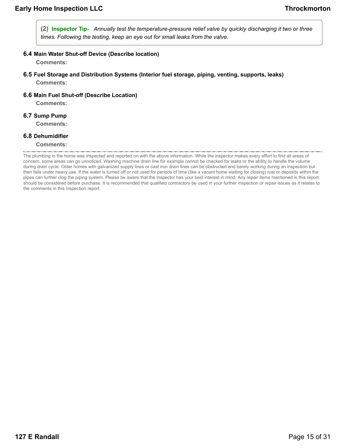(2) **Inspector Tip-** *Annually test the temperature-pressure relief valve by quickly discharging it two or three times. Following the testing, keep an eye out for small leaks from the valve.*

**6.4 Main Water Shut-off Device (Describe location)**

**Comments:**

- **6.5 Fuel Storage and Distribution Systems (Interior fuel storage, piping, venting, supports, leaks) Comments:**
- **6.6 Main Fuel Shut-off (Describe Location)**

**Comments:**

**6.7 Sump Pump**

**Comments:**

#### **6.8 Dehumidifier**

The plumbing in the home was inspected and reported on with the above information. While the inspector makes every effort to find all areas of concern, some areas can go unnoticed. Washing machine drain line for example cannot be checked for leaks or the ability to handle the volume during drain cycle. Older homes with galvanized supply lines or cast iron drain lines can be obstructed and barely working during an inspection but then fails under heavy use. If the water is turned off or not used for periods of time (like a vacant home waiting for closing) rust or deposits within the pipes can further clog the piping system. Please be aware that the inspector has your best interest in mind. Any repair items mentioned in this report should be considered before purchase. It is recommended that qualified contractors be used in your further inspection or repair issues as it relates to the comments in this inspection report.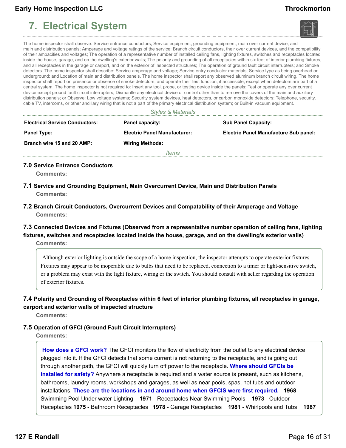# <span id="page-15-0"></span>**7. Electrical System**





The home inspector shall observe: Service entrance conductors; Service equipment, grounding equipment, main over current device, and main and distribution panels; Amperage and voltage ratings of the service; Branch circuit conductors, their over current devices, and the compatibility of their ampacities and voltages; The operation of a representative number of installed ceiling fans, lighting fixtures, switches and receptacles located inside the house, garage, and on the dwelling's exterior walls; The polarity and grounding of all receptacles within six feet of interior plumbing fixtures, and all receptacles in the garage or carport, and on the exterior of inspected structures; The operation of ground fault circuit interrupters; and Smoke detectors. The home inspector shall describe: Service amperage and voltage; Service entry conductor materials; Service type as being overhead or underground; and Location of main and distribution panels. The home inspector shall report any observed aluminum branch circuit wiring. The home inspector shall report on presence or absence of smoke detectors, and operate their test function, if accessible, except when detectors are part of a central system. The home inspector is not required to: Insert any tool, probe, or testing device inside the panels; Test or operate any over current device except ground fault circuit interrupters; Dismantle any electrical device or control other than to remove the covers of the main and auxiliary distribution panels; or Observe: Low voltage systems; Security system devices, heat detectors, or carbon monoxide detectors; Telephone, security, cable TV, intercoms, or other ancillary wiring that is not a part of the primary electrical distribution system; or Built-in vacuum equipment.

*Styles & Materials*

| <b>Electrical Service Conductors:</b> | Panel capacity:                     | <b>Sub Panel Capacity:</b>                   |
|---------------------------------------|-------------------------------------|----------------------------------------------|
| <b>Panel Type:</b>                    | <b>Electric Panel Manufacturer:</b> | <b>Electric Panel Manufacture Sub panel:</b> |
| Branch wire 15 and 20 AMP:            | <b>Wiring Methods:</b>              |                                              |
|                                       | <i>Items</i>                        |                                              |

**7.0 Service Entrance Conductors**

**Comments:**

- **7.1 Service and Grounding Equipment, Main Overcurrent Device, Main and Distribution Panels Comments:**
- **7.2 Branch Circuit Conductors, Overcurrent Devices and Compatability of their Amperage and Voltage Comments:**

### **7.3 Connected Devices and Fixtures (Observed from a representative number operation of ceiling fans, lighting fixtures, switches and receptacles located inside the house, garage, and on the dwelling's exterior walls)**

**Comments:**

Although exterior lighting is outside the scope of a home inspection, the inspector attempts to operate exterior fixtures. Fixtures may appear to be inoperable due to bulbs that need to be replaced, connection to a timer or light-sensitive switch, or a problem may exist with the light fixture, wiring or the switch. You should consult with seller regarding the operation of exterior fixtures.

### **7.4 Polarity and Grounding of Receptacles within 6 feet of interior plumbing fixtures, all receptacles in garage,**

#### **carport and exterior walls of inspected structure**

**Comments:**

### **7.5 Operation of GFCI (Ground Fault Circuit Interrupters)**

**Comments:**

**How does a GFCI work?** The GFCI monitors the flow of electricity from the outlet to any electrical device plugged into it. If the GFCI detects that some current is not returning to the receptacle, and is going out through another path, the GFCI will quickly turn off power to the receptacle. **Where should GFCIs be installed for safety?** Anywhere a receptacle is required and a water source is present, such as kitchens, bathrooms, laundry rooms, workshops and garages, as well as near pools, spas, hot tubs and outdoor installations. **These are the locations in and around home when GFCIS were first required. 1968** - Swimming Pool Under water Lighting **1971** - Receptacles Near Swimming Pools **1973** - Outdoor Receptacles **1975** - Bathroom Receptacles **1978** - Garage Receptacles **1981** - Whirlpools and Tubs **1987**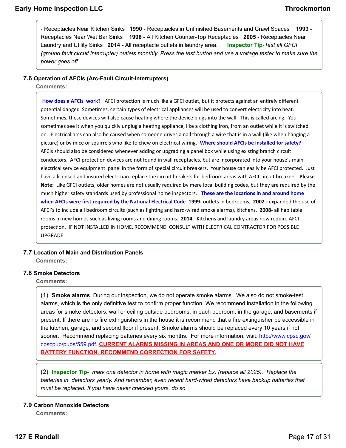- Receptacles Near Kitchen Sinks **1990** - Receptacles in Unfinished Basements and Crawl Spaces **1993** - Receptacles Near Wet Bar Sinks **1996** - All Kitchen Counter-Top Receptacles **2005** - Receptacles Near Laundry and Utility Sinks **2014 -** All receptacle outlets in laundry area. **Inspector Tip-***Test all GFCI (ground fault circuit interrupter) outlets monthly. Press the test button and use a voltage tester to make sure the power goes off.*

#### **7.6 Operation of AFCIs (Arc-Fault Circuit-Interrupters)**

**Comments:**

**How does a AFCIs work?** AFCI protection is much like a GFCI outlet, but it protects against an entirely different potential danger. Sometimes, certain types of electrical appliances will be used to convert electricity into heat. Sometimes, these devices will also cause heating where the device plugs into the wall. This is called arcing. You sometimes see it when you quickly unplug a heating appliance, like a clothing iron, from an outlet while it is switched on. Electrical arcs can also be caused when someone drives a nail through a wire that is in a wall (like when hanging a picture) or by mice or squirrels who like to chew on electrical wiring. **Where should AFCIs be installed for safety?** AFCIs should also be considered whenever adding or upgrading a panel box while using existing branch circuit conductors. AFCI protection devices are not found in wall receptacles, but are incorporated into your house's main electrical service equipment panel in the form of special circuit breakers. Your house can easily be AFCI protected. Just have a licensed and insured electrician replace the circuit breakers for bedroom areas with AFCI circuit breakers. **Please Note:** Like GFCI outlets, older homes are not usually required by mere local building codes, but they are required by the much higher safety standards used by professional home inspectors. **These are the locations in and around home when AFCIs were first required by the National Electrical Code 1999-** outlets in bedrooms, **2002 -** expanded the use of AFCI's to include all bedroom circuits (such as lighting and hard-wired smoke alarms), kitchens. **2008-** all habitable rooms in new homes such as living rooms and dining rooms. **2014** - Kitchens and laundry areas now require AFCI protection. IF NOT INSTALLED IN HOME. RECOMMEND CONSULT WITH ELECTRICAL CONTRACTOR FOR POSSIBLE UPGRADE.

### **7.7 Location of Main and Distribution Panels**

**Comments:**

#### **7.8 Smoke Detectors**

**Comments:**

(1) **Smoke alarms**. During our inspection, we do not operate smoke alarms . We also do not smoke-test alarms, which is the only definitive test to confirm proper function. We recommend installation in the following areas for smoke detectors: wall or ceiling outside bedrooms, in each bedroom, in the garage, and basements if present. If there are no fire extinguishers in the house it is recommend that a fire extinguisher be accessible in the kitchen, garage, and second floor if present. Smoke alarms should be replaced every 10 years if not sooner. Recommend replacing batteries every six months. For more information, visit: http://www.cpsc.gov/ cpscpub/pubs/559.pdf. **CURRENT ALARMS MISSING IN AREAS AND ONE OR MORE DID NOT HAVE BATTERY FUNCTION. RECOMMEND CORRECTION FOR SAFETY.**

(2) **Inspector Tip-** *mark one detector in home with magic marker Ex. (replace all 2025). Replace the batteries in detectors yearly. And remember, even recent hard-wired detectors have backup batteries that must be replaced. If you have never checked yours, do so.*

#### **7.9 Carbon Monoxide Detectors**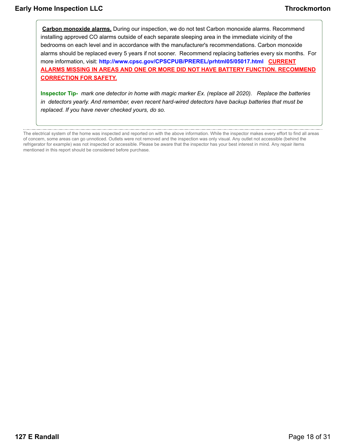المستنب

**Carbon monoxide alarms.** During our inspection, we do not test Carbon monoxide alarms. Recommend installing approved CO alarms outside of each separate sleeping area in the immediate vicinity of the bedrooms on each level and in accordance with the manufacturer's recommendations. Carbon monoxide alarms should be replaced every 5 years if not sooner. Recommend replacing batteries every six months. For more information, visit: **http://www.cpsc.gov/CPSCPUB/PREREL/prhtml05/05017.html CURRENT ALARMS MISSING IN AREAS AND ONE OR MORE DID NOT HAVE BATTERY FUNCTION. RECOMMEND CORRECTION FOR SAFETY.**

**Inspector Tip-** *mark one detector in home with magic marker Ex. (replace all 2020). Replace the batteries in detectors yearly. And remember, even recent hard-wired detectors have backup batteries that must be replaced. If you have never checked yours, do so.*

The electrical system of the home was inspected and reported on with the above information. While the inspector makes every effort to find all areas of concern, some areas can go unnoticed. Outlets were not removed and the inspection was only visual. Any outlet not accessible (behind the refrigerator for example) was not inspected or accessible. Please be aware that the inspector has your best interest in mind. Any repair items mentioned in this report should be considered before purchase.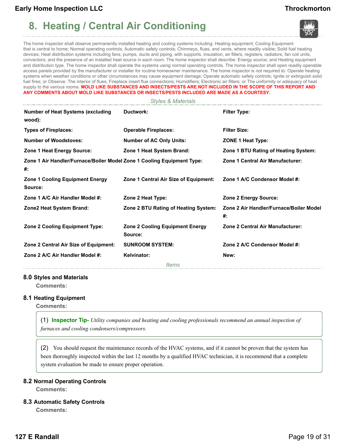# <span id="page-18-0"></span>**8. Heating / Central Air Conditioning**





The home inspector shall observe permanently installed heating and cooling systems including: Heating equipment; Cooling Equipment that is central to home; Normal operating controls; Automatic safety controls; Chimneys, flues, and vents, where readily visible; Solid fuel heating devices; Heat distribution systems including fans, pumps, ducts and piping, with supports, insulation, air filters, registers, radiators, fan coil units, convectors; and the presence of an installed heat source in each room. The home inspector shall describe: Energy source; and Heating equipment and distribution type. The home inspector shall operate the systems using normal operating controls. The home inspector shall open readily openable access panels provided by the manufacturer or installer for routine homeowner maintenance. The home inspector is not required to: Operate heating systems when weather conditions or other circumstances may cause equipment damage; Operate automatic safety controls; Ignite or extinguish solid fuel fires; or Observe: The interior of flues; Fireplace insert flue connections; Humidifiers; Electronic air filters; or The uniformity or adequacy of heat supply to the various rooms. MOLD LIKE SUBSTANCES AND INSECTS/PESTS ARE NOT INCLUDED IN THE SCOPE OF THIS REPORT AND **ANY COMMENTS ABOUT MOLD LIKE SUBSTANCES OR INSECTS/PESTS INCLUDED ARE MADE AS A COURTESY.**

*Styles & Materials*

| <b>Number of Heat Systems (excluding</b><br>wood):                           | Ductwork:                                         | <b>Filter Type:</b>                           |
|------------------------------------------------------------------------------|---------------------------------------------------|-----------------------------------------------|
| <b>Types of Fireplaces:</b>                                                  | <b>Operable Fireplaces:</b>                       | <b>Filter Size:</b>                           |
| <b>Number of Woodstoves:</b>                                                 | <b>Number of AC Only Units:</b>                   | ZONE 1 Heat Type:                             |
| Zone 1 Heat Energy Source:                                                   | Zone 1 Heat System Brand:                         | Zone 1 BTU Rating of Heating System:          |
| Zone 1 Air Handler/Furnace/Boiler Model Zone 1 Cooling Equipment Type:<br>#: |                                                   | Zone 1 Central Air Manufacturer:              |
| <b>Zone 1 Cooling Equipment Energy</b><br>Source:                            | Zone 1 Central Air Size of Equipment:             | Zone 1 A/C Condensor Model #:                 |
| Zone 1 A/C Air Handler Model #:                                              | Zone 2 Heat Type:                                 | Zone 2 Energy Source:                         |
| <b>Zone2 Heat System Brand:</b>                                              | Zone 2 BTU Rating of Heating System:              | Zone 2 Air Handler/Furnace/Boiler Model<br>#: |
| <b>Zone 2 Cooling Equipment Type:</b>                                        | <b>Zone 2 Cooling Equipment Energy</b><br>Source: | Zone 2 Central Air Manufacturer:              |
| Zone 2 Central Air Size of Equipment:                                        | <b>SUNROOM SYSTEM:</b>                            | Zone 2 A/C Condensor Model #:                 |
| Zone 2 A/C Air Handler Model #:                                              | Kelvinator:                                       | New:                                          |
|                                                                              | <i>Items</i>                                      |                                               |

#### **8.0 Styles and Materials**

**Comments:**

#### **8.1 Heating Equipment**

**Comments:**

(1) **Inspector Tip-** *Utility companies and heating and cooling professionals recommend an annual inspection of furnaces and cooling condensers/compressors.*

(2) You should request the maintenance records of the HVAC systems, and if it cannot be proven that the system has been thoroughly inspected within the last 12 months by a qualified HVAC technician, it is recommend that a complete system evaluation be made to ensure proper operation.

#### **8.2 Normal Operating Controls**

**Comments:**

#### **8.3 Automatic Safety Controls**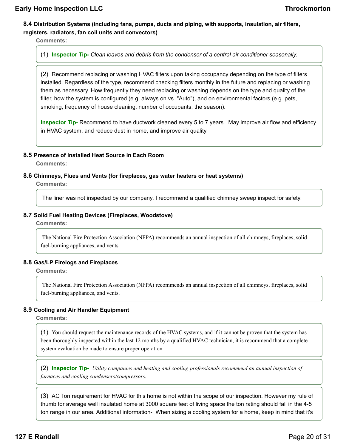### **8.4 Distribution Systems (including fans, pumps, ducts and piping, with supports, insulation, air filters, registers, radiators, fan coil units and convectors)**

**Comments:**

(1) **Inspector Tip-** *Clean leaves and debris from the condenser of a central air conditioner seasonally.*

(2) Recommend replacing or washing HVAC filters upon taking occupancy depending on the type of filters installed. Regardless of the type, recommend checking filters monthly in the future and replacing or washing them as necessary. How frequently they need replacing or washing depends on the type and quality of the filter, how the system is configured (e.g. always on vs. "Auto"), and on environmental factors (e.g. pets, smoking, frequency of house cleaning, number of occupants, the season).

**Inspector Tip-** Recommend to have ductwork cleaned every 5 to 7 years. May improve air flow and efficiency in HVAC system, and reduce dust in home, and improve air quality.

#### **8.5 Presence of Installed Heat Source in Each Room**

**Comments:**

#### **8.6 Chimneys, Flues and Vents (for fireplaces, gas water heaters or heat systems)**

**Comments:**

The liner was not inspected by our company. I recommend a qualified chimney sweep inspect for safety.

#### **8.7 Solid Fuel Heating Devices (Fireplaces, Woodstove)**

**Comments:**

The National Fire Protection Association (NFPA) recommends an annual inspection of all chimneys, fireplaces, solid fuel-burning appliances, and vents.

#### **8.8 Gas/LP Firelogs and Fireplaces**

**Comments:**

The National Fire Protection Association (NFPA) recommends an annual inspection of all chimneys, fireplaces, solid fuel-burning appliances, and vents.

#### **8.9 Cooling and Air Handler Equipment**

**Comments:**

(1) You should request the maintenance records of the HVAC systems, and if it cannot be proven that the system has been thoroughly inspected within the last 12 months by a qualified HVAC technician, it is recommend that a complete system evaluation be made to ensure proper operation

(2) **Inspector Tip-** *Utility companies and heating and cooling professionals recommend an annual inspection of furnaces and cooling condensers/compressors.*

(3) AC Ton requirement for HVAC for this home is not within the scope of our inspection. However my rule of thumb for average well insulated home at 3000 square feet of living space the ton rating should fall in the 4-5 ton range in our area. Additional information- When sizing a cooling system for a home, keep in mind that it's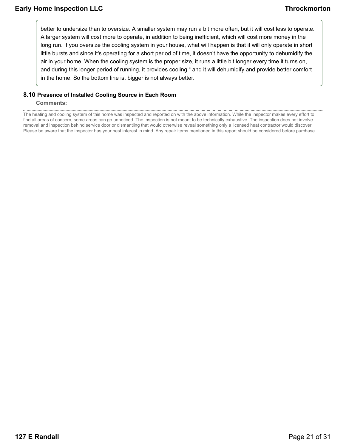better to undersize than to oversize. A smaller system may run a bit more often, but it will cost less to operate. A larger system will cost more to operate, in addition to being inefficient, which will cost more money in the long run. If you oversize the cooling system in your house, what will happen is that it will only operate in short little bursts and since it's operating for a short period of time, it doesn't have the opportunity to dehumidify the air in your home. When the cooling system is the proper size, it runs a little bit longer every time it turns on, and during this longer period of running, it provides cooling " and it will dehumidify and provide better comfort in the home. So the bottom line is, bigger is not always better.

### **8.10 Presence of Installed Cooling Source in Each Room**

#### **Comments:**

The heating and cooling system of this home was inspected and reported on with the above information. While the inspector makes every effort to find all areas of concern, some areas can go unnoticed. The inspection is not meant to be technically exhaustive. The inspection does not involve removal and inspection behind service door or dismantling that would otherwise reveal something only a licensed heat contractor would discover. Please be aware that the inspector has your best interest in mind. Any repair items mentioned in this report should be considered before purchase.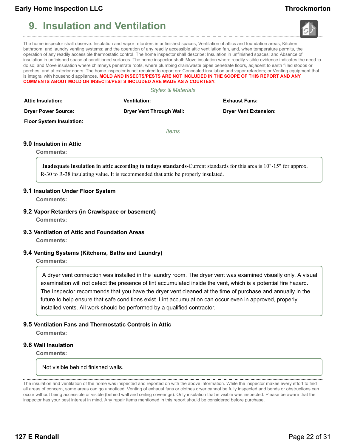# <span id="page-21-0"></span>**9. Insulation and Ventilation**





The home inspector shall observe: Insulation and vapor retarders in unfinished spaces; Ventilation of attics and foundation areas; Kitchen, bathroom, and laundry venting systems; and the operation of any readily accessible attic ventilation fan, and, when temperature permits, the operation of any readily accessible thermostatic control. The home inspector shall describe: Insulation in unfinished spaces; and Absence of insulation in unfinished space at conditioned surfaces. The home inspector shall: Move insulation where readily visible evidence indicates the need to do so; and Move insulation where chimneys penetrate roofs, where plumbing drain/waste pipes penetrate floors, adjacent to earth filled stoops or porches, and at exterior doors. The home inspector is not required to report on: Concealed insulation and vapor retarders; or Venting equipment that is integral with household appliances. **MOLD AND INSECTS/PESTS ARE NOT INCLUDED IN THE SCOPE OF THIS REPORT AND ANY COMMENTS ABOUT MOLD OR INSECTS/PESTS INCLUDED ARE MADE AS A COURTESY.**

|  | <b>Styles &amp; Materials</b> |
|--|-------------------------------|
|--|-------------------------------|

| <b>Attic Insulation:</b>        | <b>Ventilation:</b>             | <b>Exhaust Fans:</b>         |
|---------------------------------|---------------------------------|------------------------------|
| <b>Dryer Power Source:</b>      | <b>Dryer Vent Through Wall:</b> | <b>Dryer Vent Extension:</b> |
| <b>Floor System Insulation:</b> |                                 |                              |
|                                 | <i>Items</i>                    |                              |

#### **9.0 Insulation in Attic**

**Comments:**

**Inadequate insulation in attic according to todays standards**-Current standards for this area is 10"-15" for approx. R-30 to R-38 insulating value. It is recommended that attic be properly insulated.

#### **9.1 Insulation Under Floor System**

**Comments:**

- **9.2 Vapor Retarders (in Crawlspace or basement) Comments:**
- **9.3 Ventilation of Attic and Foundation Areas**

**Comments:**

**9.4 Venting Systems (Kitchens, Baths and Laundry)**

**Comments:**

A dryer vent connection was installed in the laundry room. The dryer vent was examined visually only. A visual examination will not detect the presence of lint accumulated inside the vent, which is a potential fire hazard. The Inspector recommends that you have the dryer vent cleaned at the time of purchase and annually in the future to help ensure that safe conditions exist. Lint accumulation can occur even in approved, properly installed vents. All work should be performed by a qualified contractor.

#### **9.5 Ventilation Fans and Thermostatic Controls in Attic**

**Comments:**

#### **9.6 Wall Insulation**

**Comments:**

Not visible behind finished walls.

The insulation and ventilation of the home was inspected and reported on with the above information. While the inspector makes every effort to find all areas of concern, some areas can go unnoticed. Venting of exhaust fans or clothes dryer cannot be fully inspected and bends or obstructions can occur without being accessible or visible (behind wall and ceiling coverings). Only insulation that is visible was inspected. Please be aware that the inspector has your best interest in mind. Any repair items mentioned in this report should be considered before purchase.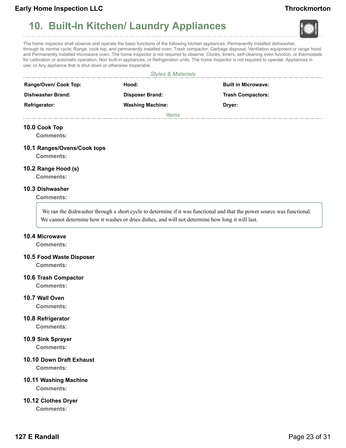# <span id="page-22-0"></span>**10. Built-In Kitchen/ Laundry Appliances**





The home inspector shall observe and operate the basic functions of the following kitchen appliances: Permanently installed dishwasher, through its normal cycle; Range, cook top, and permanently installed oven; Trash compactor; Garbage disposal; Ventilation equipment or range hood; and Permanently installed microwave oven. The home inspector is not required to observe: Clocks, timers, self-cleaning oven function, or thermostats for calibration or automatic operation; Non built-in appliances; or Refrigeration units. The home inspector is not required to operate: Appliances in use; or Any appliance that is shut down or otherwise inoperable.

| <b>Styles &amp; Materials</b> |                         |                            |  |  |  |
|-------------------------------|-------------------------|----------------------------|--|--|--|
| Range/Oven/ Cook Top:         | Hood:                   | <b>Built in Microwave:</b> |  |  |  |
| Dishwasher Brand:             | <b>Disposer Brand:</b>  | <b>Trash Compactors:</b>   |  |  |  |
| <b>Refrigerator:</b>          | <b>Washing Machine:</b> | Dryer:                     |  |  |  |
|                               | ltems                   |                            |  |  |  |

#### **10.0 Cook Top**

**Comments:**

#### **10.1 Ranges/Ovens/Cook tops**

**Comments:**

#### **10.2 Range Hood (s)**

**Comments:**

#### **10.3 Dishwasher**

**Comments:**

We ran the dishwasher through a short cycle to determine if it was functional and that the power source was functional. We cannot determine how it washes or dries dishes, and will not determine how long it will last.

#### **10.4 Microwave**

**Comments:**

#### **10.5 Food Waste Disposer**

**Comments:**

#### **10.6 Trash Compactor**

**Comments:**

#### **10.7 Wall Oven**

**Comments:**

#### **10.8 Refrigerator**

**Comments:**

#### **10.9 Sink Sprayer**

**Comments:**

### **10.10 Down Draft Exhaust**

**Comments:**

#### **10.11 Washing Machine**

**Comments:**

#### **10.12 Clothes Dryer**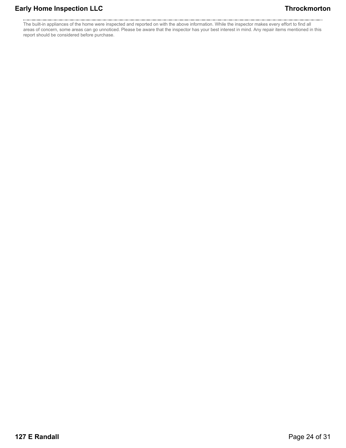The built-in appliances of the home were inspected and reported on with the above information. While the inspector makes every effort to find all areas of concern, some areas can go unnoticed. Please be aware that the inspector has your best interest in mind. Any repair items mentioned in this report should be considered before purchase.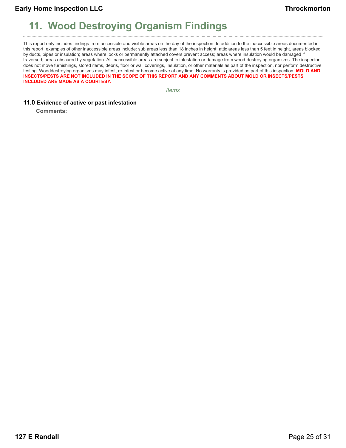# <span id="page-24-0"></span>**11. Wood Destroying Organism Findings**

This report only includes findings from accessible and visible areas on the day of the inspection. In addition to the inaccessible areas documented in this report, examples of other inaccessible areas include: sub areas less than 18 inches in height; attic areas less than 5 feet in height, areas blocked by ducts, pipes or insulation; areas where locks or permanently attached covers prevent access; areas where insulation would be damaged if traversed; areas obscured by vegetation. All inaccessible areas are subject to infestation or damage from wood-destroying organisms. The inspector does not move furnishings, stored items, debris, floor or wall coverings, insulation, or other materials as part of the inspection, nor perform destructive testing. Wooddestroying organisms may infest, re-infest or become active at any time. No warranty is provided as part of this inspection. **MOLD AND INSECTS/PESTS ARE NOT INCLUDED IN THE SCOPE OF THIS REPORT AND ANY COMMENTS ABOUT MOLD OR INSECTS/PESTS INCLUDED ARE MADE AS A COURTESY.**

*Items*

#### **11.0 Evidence of active or past infestation**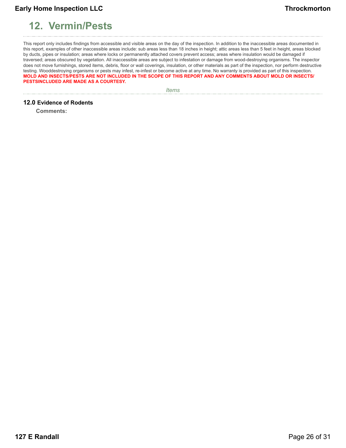# <span id="page-25-0"></span>**12. Vermin/Pests**

This report only includes findings from accessible and visible areas on the day of the inspection. In addition to the inaccessible areas documented in this report, examples of other inaccessible areas include: sub areas less than 18 inches in height; attic areas less than 5 feet in height, areas blocked by ducts, pipes or insulation; areas where locks or permanently attached covers prevent access; areas where insulation would be damaged if traversed; areas obscured by vegetation. All inaccessible areas are subject to infestation or damage from wood-destroying organisms. The inspector does not move furnishings, stored items, debris, floor or wall coverings, insulation, or other materials as part of the inspection, nor perform destructive testing. Wooddestroying organisms or pests may infest, re-infest or become active at any time. No warranty is provided as part of this inspection. **MOLD AND INSECTS/PESTS ARE NOT INCLUDED IN THE SCOPE OF THIS REPORT AND ANY COMMENTS ABOUT MOLD OR INSECTS/ PESTSINCLUDED ARE MADE AS A COURTESY.**

*Items*

#### **12.0 Evidence of Rodents**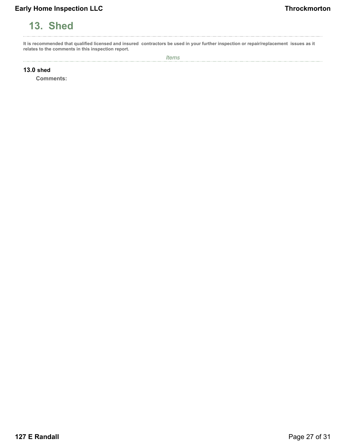# <span id="page-26-0"></span>**13. Shed**

**It is recommended that qualified licensed and insured contractors be used in your further inspection or repair/replacement issues as it relates to the comments in this inspection report.**

**13.0 shed**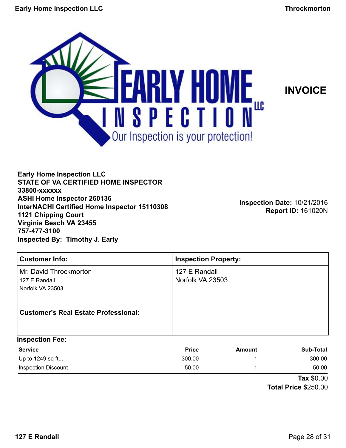<span id="page-27-0"></span>



**Early Home Inspection LLC STATE OF VA CERTIFIED HOME INSPECTOR 33800-xxxxxx ASHI Home Inspector 260136 InterNACHI Certified Home Inspector 15110308 1121 Chipping Court Virginia Beach VA 23455 757-477-3100 Inspected By: Timothy J. Early**

**Inspection Date:** 10/21/2016 **Report ID:** 161020N

| <b>Customer Info:</b>                                                                                      | <b>Inspection Property:</b>       |               |                  |
|------------------------------------------------------------------------------------------------------------|-----------------------------------|---------------|------------------|
| Mr. David Throckmorton<br>127 E Randall<br>Norfolk VA 23503<br><b>Customer's Real Estate Professional:</b> | 127 E Randall<br>Norfolk VA 23503 |               |                  |
| <b>Inspection Fee:</b>                                                                                     |                                   |               |                  |
| <b>Service</b>                                                                                             | <b>Price</b>                      | <b>Amount</b> | <b>Sub-Total</b> |
| Up to 1249 sq ft                                                                                           | 300.00                            | 1             | 300.00           |
| <b>Inspection Discount</b>                                                                                 | $-50.00$                          | 1             | $-50.00$         |

**Tax \$**0.00 **Total Price \$**250.00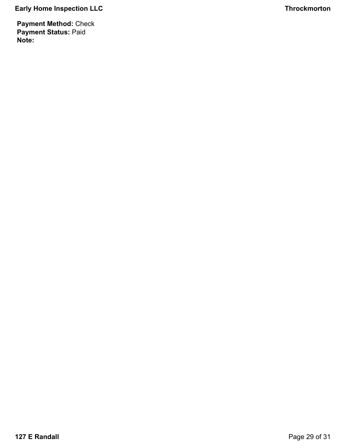**Payment Method:** Check **Payment Status:** Paid **Note:**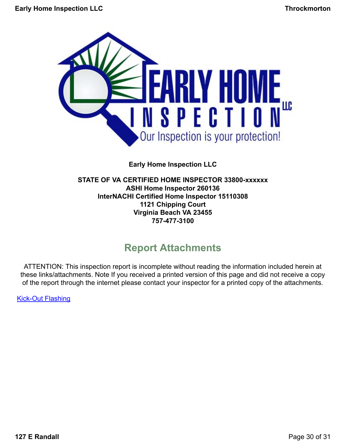<span id="page-29-0"></span>

**Early Home Inspection LLC**

### **STATE OF VA CERTIFIED HOME INSPECTOR 33800-xxxxxx ASHI Home Inspector 260136 InterNACHI Certified Home Inspector 15110308 1121 Chipping Court Virginia Beach VA 23455 757-477-3100**

# **Report Attachments**

ATTENTION: This inspection report is incomplete without reading the information included herein at these links/attachments. Note If you received a printed version of this page and did not receive a copy of the report through the internet please contact your inspector for a printed copy of the attachments.

[Kick-Out Flashing](Kickout Flashing.docx)